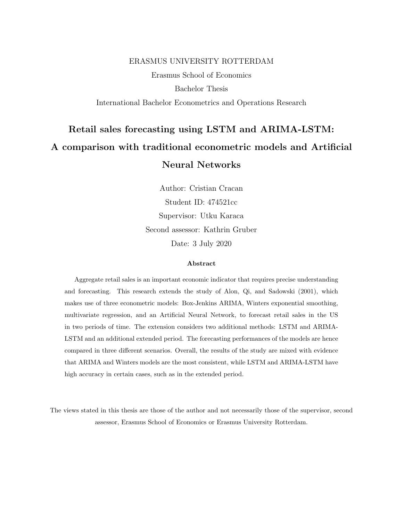#### ERASMUS UNIVERSITY ROTTERDAM

Erasmus School of Economics

Bachelor Thesis

International Bachelor Econometrics and Operations Research

# Retail sales forecasting using LSTM and ARIMA-LSTM: A comparison with traditional econometric models and Artificial Neural Networks

Author: Cristian Cracan Student ID: 474521cc Supervisor: Utku Karaca Second assessor: Kathrin Gruber Date: 3 July 2020

#### Abstract

Aggregate retail sales is an important economic indicator that requires precise understanding and forecasting. This research extends the study of Alon, Qi, and Sadowski (2001), which makes use of three econometric models: Box-Jenkins ARIMA, Winters exponential smoothing, multivariate regression, and an Artificial Neural Network, to forecast retail sales in the US in two periods of time. The extension considers two additional methods: LSTM and ARIMA-LSTM and an additional extended period. The forecasting performances of the models are hence compared in three different scenarios. Overall, the results of the study are mixed with evidence that ARIMA and Winters models are the most consistent, while LSTM and ARIMA-LSTM have high accuracy in certain cases, such as in the extended period.

The views stated in this thesis are those of the author and not necessarily those of the supervisor, second assessor, Erasmus School of Economics or Erasmus University Rotterdam.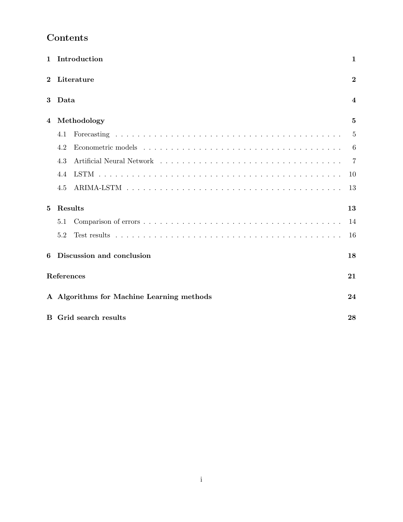| $\mathbf{1}$ | Introduction<br>$\mathbf{1}$                    |                         |  |  |  |  |  |  |  |
|--------------|-------------------------------------------------|-------------------------|--|--|--|--|--|--|--|
| $\bf{2}$     | Literature                                      | $\bf{2}$                |  |  |  |  |  |  |  |
| 3            | Data                                            | $\overline{\mathbf{4}}$ |  |  |  |  |  |  |  |
| 4            | Methodology                                     | 5                       |  |  |  |  |  |  |  |
|              | 4.1                                             | 5                       |  |  |  |  |  |  |  |
|              | 4.2                                             | 6                       |  |  |  |  |  |  |  |
|              | 4.3                                             | 7                       |  |  |  |  |  |  |  |
|              | 4.4                                             | 10                      |  |  |  |  |  |  |  |
|              | 4.5                                             | 13                      |  |  |  |  |  |  |  |
| 5            | Results                                         | 13                      |  |  |  |  |  |  |  |
|              | 5.1                                             | 14                      |  |  |  |  |  |  |  |
|              | 5.2                                             | 16                      |  |  |  |  |  |  |  |
| 6            | Discussion and conclusion                       | 18                      |  |  |  |  |  |  |  |
|              | References                                      | 21                      |  |  |  |  |  |  |  |
|              | A Algorithms for Machine Learning methods<br>24 |                         |  |  |  |  |  |  |  |
|              | <b>B</b> Grid search results<br>28              |                         |  |  |  |  |  |  |  |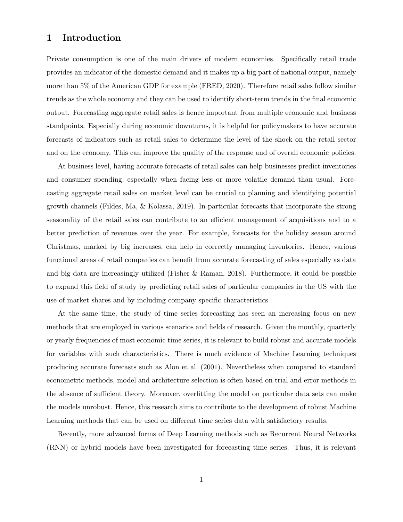# 1 Introduction

Private consumption is one of the main drivers of modern economies. Specifically retail trade provides an indicator of the domestic demand and it makes up a big part of national output, namely more than 5% of the American GDP for example (FRED, 2020). Therefore retail sales follow similar trends as the whole economy and they can be used to identify short-term trends in the final economic output. Forecasting aggregate retail sales is hence important from multiple economic and business standpoints. Especially during economic downturns, it is helpful for policymakers to have accurate forecasts of indicators such as retail sales to determine the level of the shock on the retail sector and on the economy. This can improve the quality of the response and of overall economic policies.

At business level, having accurate forecasts of retail sales can help businesses predict inventories and consumer spending, especially when facing less or more volatile demand than usual. Forecasting aggregate retail sales on market level can be crucial to planning and identifying potential growth channels (Fildes, Ma, & Kolassa, 2019). In particular forecasts that incorporate the strong seasonality of the retail sales can contribute to an efficient management of acquisitions and to a better prediction of revenues over the year. For example, forecasts for the holiday season around Christmas, marked by big increases, can help in correctly managing inventories. Hence, various functional areas of retail companies can benefit from accurate forecasting of sales especially as data and big data are increasingly utilized (Fisher & Raman, 2018). Furthermore, it could be possible to expand this field of study by predicting retail sales of particular companies in the US with the use of market shares and by including company specific characteristics.

At the same time, the study of time series forecasting has seen an increasing focus on new methods that are employed in various scenarios and fields of research. Given the monthly, quarterly or yearly frequencies of most economic time series, it is relevant to build robust and accurate models for variables with such characteristics. There is much evidence of Machine Learning techniques producing accurate forecasts such as Alon et al. (2001). Nevertheless when compared to standard econometric methods, model and architecture selection is often based on trial and error methods in the absence of sufficient theory. Moreover, overfitting the model on particular data sets can make the models unrobust. Hence, this research aims to contribute to the development of robust Machine Learning methods that can be used on different time series data with satisfactory results.

Recently, more advanced forms of Deep Learning methods such as Recurrent Neural Networks (RNN) or hybrid models have been investigated for forecasting time series. Thus, it is relevant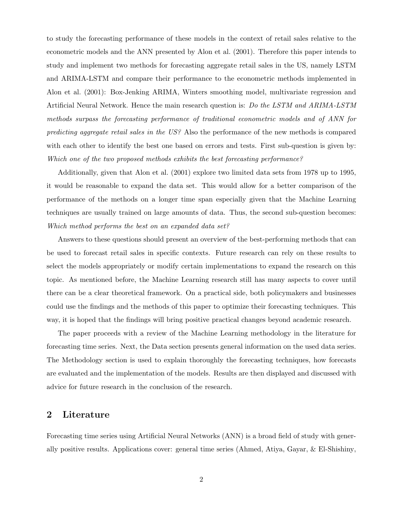to study the forecasting performance of these models in the context of retail sales relative to the econometric models and the ANN presented by Alon et al. (2001). Therefore this paper intends to study and implement two methods for forecasting aggregate retail sales in the US, namely LSTM and ARIMA-LSTM and compare their performance to the econometric methods implemented in Alon et al. (2001): Box-Jenking ARIMA, Winters smoothing model, multivariate regression and Artificial Neural Network. Hence the main research question is: Do the LSTM and ARIMA-LSTM methods surpass the forecasting performance of traditional econometric models and of ANN for predicting aggregate retail sales in the US? Also the performance of the new methods is compared with each other to identify the best one based on errors and tests. First sub-question is given by: Which one of the two proposed methods exhibits the best forecasting performance?

Additionally, given that Alon et al. (2001) explore two limited data sets from 1978 up to 1995, it would be reasonable to expand the data set. This would allow for a better comparison of the performance of the methods on a longer time span especially given that the Machine Learning techniques are usually trained on large amounts of data. Thus, the second sub-question becomes: Which method performs the best on an expanded data set?

Answers to these questions should present an overview of the best-performing methods that can be used to forecast retail sales in specific contexts. Future research can rely on these results to select the models appropriately or modify certain implementations to expand the research on this topic. As mentioned before, the Machine Learning research still has many aspects to cover until there can be a clear theoretical framework. On a practical side, both policymakers and businesses could use the findings and the methods of this paper to optimize their forecasting techniques. This way, it is hoped that the findings will bring positive practical changes beyond academic research.

The paper proceeds with a review of the Machine Learning methodology in the literature for forecasting time series. Next, the Data section presents general information on the used data series. The Methodology section is used to explain thoroughly the forecasting techniques, how forecasts are evaluated and the implementation of the models. Results are then displayed and discussed with advice for future research in the conclusion of the research.

# 2 Literature

Forecasting time series using Artificial Neural Networks (ANN) is a broad field of study with generally positive results. Applications cover: general time series (Ahmed, Atiya, Gayar, & El-Shishiny,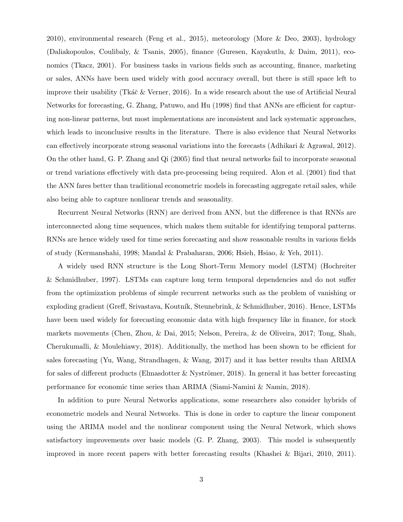2010), environmental research (Feng et al., 2015), meteorology (More & Deo, 2003), hydrology (Daliakopoulos, Coulibaly, & Tsanis, 2005), finance (Guresen, Kayakutlu, & Daim, 2011), economics (Tkacz, 2001). For business tasks in various fields such as accounting, finance, marketing or sales, ANNs have been used widely with good accuracy overall, but there is still space left to improve their usability (Tk $\acute{\alpha}$ č & Verner, 2016). In a wide research about the use of Artificial Neural Networks for forecasting, G. Zhang, Patuwo, and Hu (1998) find that ANNs are efficient for capturing non-linear patterns, but most implementations are inconsistent and lack systematic approaches, which leads to inconclusive results in the literature. There is also evidence that Neural Networks can effectively incorporate strong seasonal variations into the forecasts (Adhikari & Agrawal, 2012). On the other hand, G. P. Zhang and Qi (2005) find that neural networks fail to incorporate seasonal or trend variations effectively with data pre-processing being required. Alon et al. (2001) find that the ANN fares better than traditional econometric models in forecasting aggregate retail sales, while also being able to capture nonlinear trends and seasonality.

Recurrent Neural Networks (RNN) are derived from ANN, but the difference is that RNNs are interconnected along time sequences, which makes them suitable for identifying temporal patterns. RNNs are hence widely used for time series forecasting and show reasonable results in various fields of study (Kermanshahi, 1998; Mandal & Prabaharan, 2006; Hsieh, Hsiao, & Yeh, 2011).

A widely used RNN structure is the Long Short-Term Memory model (LSTM) (Hochreiter & Schmidhuber, 1997). LSTMs can capture long term temporal dependencies and do not suffer from the optimization problems of simple recurrent networks such as the problem of vanishing or exploding gradient (Greff, Srivastava, Koutník, Steunebrink, & Schmidhuber, 2016). Hence, LSTMs have been used widely for forecasting economic data with high frequency like in finance, for stock markets movements (Chen, Zhou, & Dai, 2015; Nelson, Pereira, & de Oliveira, 2017; Tong, Shah, Cherukumalli, & Moulehiawy, 2018). Additionally, the method has been shown to be efficient for sales forecasting (Yu, Wang, Strandhagen, & Wang, 2017) and it has better results than ARIMA for sales of different products (Elmasdotter  $&$  Nyströmer, 2018). In general it has better forecasting performance for economic time series than ARIMA (Siami-Namini & Namin, 2018).

In addition to pure Neural Networks applications, some researchers also consider hybrids of econometric models and Neural Networks. This is done in order to capture the linear component using the ARIMA model and the nonlinear component using the Neural Network, which shows satisfactory improvements over basic models (G. P. Zhang, 2003). This model is subsequently improved in more recent papers with better forecasting results (Khashei & Bijari, 2010, 2011).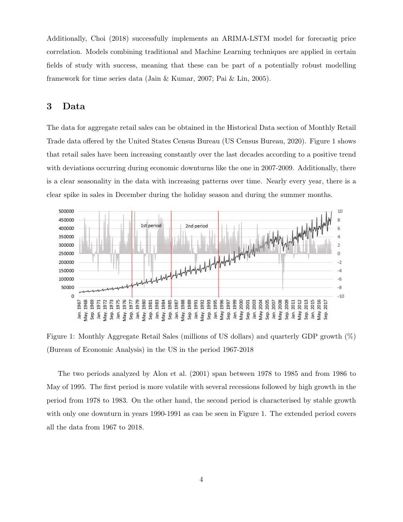Additionally, Choi (2018) successfully implements an ARIMA-LSTM model for forecastig price correlation. Models combining traditional and Machine Learning techniques are applied in certain fields of study with success, meaning that these can be part of a potentially robust modelling framework for time series data (Jain & Kumar, 2007; Pai & Lin, 2005).

## 3 Data

The data for aggregate retail sales can be obtained in the Historical Data section of Monthly Retail Trade data offered by the United States Census Bureau (US Census Bureau, 2020). Figure 1 shows that retail sales have been increasing constantly over the last decades according to a positive trend with deviations occurring during economic downturns like the one in 2007-2009. Additionally, there is a clear seasonality in the data with increasing patterns over time. Nearly every year, there is a clear spike in sales in December during the holiday season and during the summer months.



Figure 1: Monthly Aggregate Retail Sales (millions of US dollars) and quarterly GDP growth (%) (Bureau of Economic Analysis) in the US in the period 1967-2018

The two periods analyzed by Alon et al. (2001) span between 1978 to 1985 and from 1986 to May of 1995. The first period is more volatile with several recessions followed by high growth in the period from 1978 to 1983. On the other hand, the second period is characterised by stable growth with only one downturn in years 1990-1991 as can be seen in Figure 1. The extended period covers all the data from 1967 to 2018.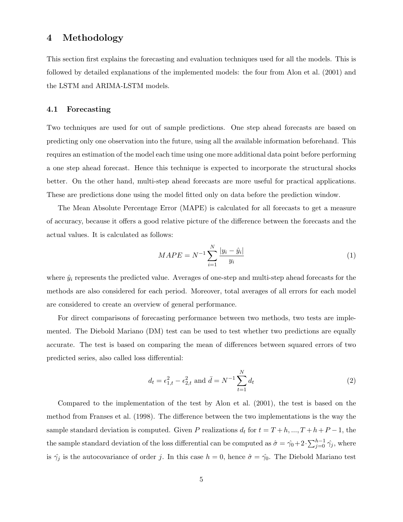# 4 Methodology

This section first explains the forecasting and evaluation techniques used for all the models. This is followed by detailed explanations of the implemented models: the four from Alon et al. (2001) and the LSTM and ARIMA-LSTM models.

#### 4.1 Forecasting

Two techniques are used for out of sample predictions. One step ahead forecasts are based on predicting only one observation into the future, using all the available information beforehand. This requires an estimation of the model each time using one more additional data point before performing a one step ahead forecast. Hence this technique is expected to incorporate the structural shocks better. On the other hand, multi-step ahead forecasts are more useful for practical applications. These are predictions done using the model fitted only on data before the prediction window.

The Mean Absolute Percentage Error (MAPE) is calculated for all forecasts to get a measure of accuracy, because it offers a good relative picture of the difference between the forecasts and the actual values. It is calculated as follows:

$$
MAPE = N^{-1} \sum_{i=1}^{N} \frac{|y_i - \hat{y}_i|}{y_i}
$$
 (1)

where  $\hat{y}_i$  represents the predicted value. Averages of one-step and multi-step ahead forecasts for the methods are also considered for each period. Moreover, total averages of all errors for each model are considered to create an overview of general performance.

For direct comparisons of forecasting performance between two methods, two tests are implemented. The Diebold Mariano (DM) test can be used to test whether two predictions are equally accurate. The test is based on comparing the mean of differences between squared errors of two predicted series, also called loss differential:

$$
d_t = \epsilon_{1,t}^2 - \epsilon_{2,t}^2 \text{ and } \bar{d} = N^{-1} \sum_{t=1}^N d_t
$$
 (2)

Compared to the implementation of the test by Alon et al. (2001), the test is based on the method from Franses et al. (1998). The difference between the two implementations is the way the sample standard deviation is computed. Given P realizations  $d_t$  for  $t = T + h, ..., T + h + P - 1$ , the the sample standard deviation of the loss differential can be computed as  $\hat{\sigma} = \hat{\gamma}_0 + 2 \cdot \sum_{j=0}^{h-1} \hat{\gamma}_j$ , where is  $\hat{\gamma}_j$  is the autocovariance of order j. In this case  $h = 0$ , hence  $\hat{\sigma} = \hat{\gamma}_0$ . The Diebold Mariano test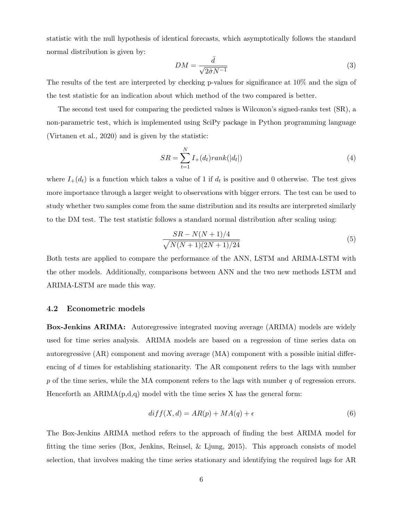statistic with the null hypothesis of identical forecasts, which asymptotically follows the standard normal distribution is given by:

$$
DM = \frac{\bar{d}}{\sqrt{2\hat{\sigma}N^{-1}}} \tag{3}
$$

The results of the test are interpreted by checking p-values for significance at 10% and the sign of the test statistic for an indication about which method of the two compared is better.

The second test used for comparing the predicted values is Wilcoxon's signed-ranks test (SR), a non-parametric test, which is implemented using SciPy package in Python programming language (Virtanen et al., 2020) and is given by the statistic:

$$
SR = \sum_{t=1}^{N} I_{+}(d_{t}) rank(|d_{t}|)
$$
\n
$$
(4)
$$

where  $I_+(d_t)$  is a function which takes a value of 1 if  $d_t$  is positive and 0 otherwise. The test gives more importance through a larger weight to observations with bigger errors. The test can be used to study whether two samples come from the same distribution and its results are interpreted similarly to the DM test. The test statistic follows a standard normal distribution after scaling using:

$$
\frac{SR - N(N+1)/4}{\sqrt{N(N+1)(2N+1)/24}}
$$
\n(5)

Both tests are applied to compare the performance of the ANN, LSTM and ARIMA-LSTM with the other models. Additionally, comparisons between ANN and the two new methods LSTM and ARIMA-LSTM are made this way.

#### 4.2 Econometric models

Box-Jenkins ARIMA: Autoregressive integrated moving average (ARIMA) models are widely used for time series analysis. ARIMA models are based on a regression of time series data on autoregressive (AR) component and moving average (MA) component with a possible initial differencing of d times for establishing stationarity. The AR component refers to the lags with number  $p$  of the time series, while the MA component refers to the lags with number  $q$  of regression errors. Henceforth an  $ARIMA(p,d,q)$  model with the time series X has the general form:

$$
diff(X, d) = AR(p) + MA(q) + \epsilon
$$
\n(6)

The Box-Jenkins ARIMA method refers to the approach of finding the best ARIMA model for fitting the time series (Box, Jenkins, Reinsel, & Ljung, 2015). This approach consists of model selection, that involves making the time series stationary and identifying the required lags for AR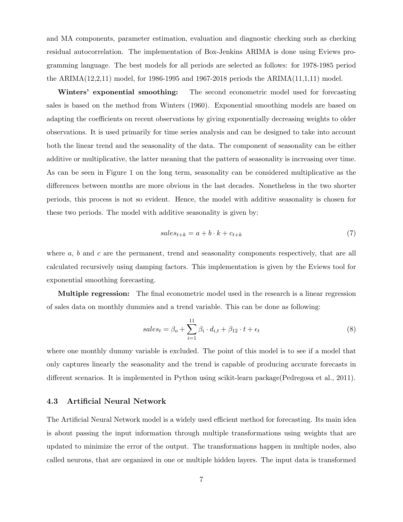and MA components, parameter estimation, evaluation and diagnostic checking such as checking residual autocorrelation. The implementation of Box-Jenkins ARIMA is done using Eviews programming language. The best models for all periods are selected as follows: for 1978-1985 period the ARIMA $(12,2,11)$  model, for 1986-1995 and 1967-2018 periods the ARIMA $(11,1,11)$  model.

Winters' exponential smoothing: The second econometric model used for forecasting sales is based on the method from Winters (1960). Exponential smoothing models are based on adapting the coefficients on recent observations by giving exponentially decreasing weights to older observations. It is used primarily for time series analysis and can be designed to take into account both the linear trend and the seasonality of the data. The component of seasonality can be either additive or multiplicative, the latter meaning that the pattern of seasonality is increasing over time. As can be seen in Figure 1 on the long term, seasonality can be considered multiplicative as the differences between months are more obvious in the last decades. Nonetheless in the two shorter periods, this process is not so evident. Hence, the model with additive seasonality is chosen for these two periods. The model with additive seasonality is given by:

$$
sales_{t+k} = a + b \cdot k + c_{t+k} \tag{7}
$$

where  $a, b$  and  $c$  are the permanent, trend and seasonality components respectively, that are all calculated recursively using damping factors. This implementation is given by the Eviews tool for exponential smoothing forecasting.

Multiple regression: The final econometric model used in the research is a linear regression of sales data on monthly dummies and a trend variable. This can be done as following:

$$
sales_t = \beta_o + \sum_{i=1}^{11} \beta_i \cdot d_{i,t} + \beta_{12} \cdot t + \epsilon_t
$$
\n
$$
(8)
$$

where one monthly dummy variable is excluded. The point of this model is to see if a model that only captures linearly the seasonality and the trend is capable of producing accurate forecasts in different scenarios. It is implemented in Python using scikit-learn package(Pedregosa et al., 2011).

#### 4.3 Artificial Neural Network

The Artificial Neural Network model is a widely used efficient method for forecasting. Its main idea is about passing the input information through multiple transformations using weights that are updated to minimize the error of the output. The transformations happen in multiple nodes, also called neurons, that are organized in one or multiple hidden layers. The input data is transformed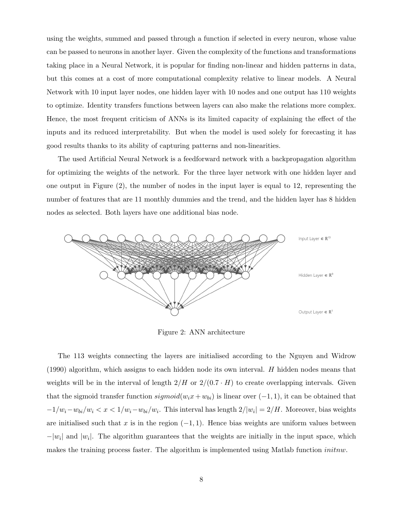using the weights, summed and passed through a function if selected in every neuron, whose value can be passed to neurons in another layer. Given the complexity of the functions and transformations taking place in a Neural Network, it is popular for finding non-linear and hidden patterns in data, but this comes at a cost of more computational complexity relative to linear models. A Neural Network with 10 input layer nodes, one hidden layer with 10 nodes and one output has 110 weights to optimize. Identity transfers functions between layers can also make the relations more complex. Hence, the most frequent criticism of ANNs is its limited capacity of explaining the effect of the inputs and its reduced interpretability. But when the model is used solely for forecasting it has good results thanks to its ability of capturing patterns and non-linearities.

The used Artificial Neural Network is a feedforward network with a backpropagation algorithm for optimizing the weights of the network. For the three layer network with one hidden layer and one output in Figure (2), the number of nodes in the input layer is equal to 12, representing the number of features that are 11 monthly dummies and the trend, and the hidden layer has 8 hidden nodes as selected. Both layers have one additional bias node.



Figure 2: ANN architecture

The 113 weights connecting the layers are initialised according to the Nguyen and Widrow (1990) algorithm, which assigns to each hidden node its own interval. H hidden nodes means that weights will be in the interval of length  $2/H$  or  $2/(0.7 \cdot H)$  to create overlapping intervals. Given that the sigmoid transfer function  $sigmoid(w_i x + w_{bi})$  is linear over  $(-1, 1)$ , it can be obtained that  $-1/w_i - w_{bi}/w_i < x < 1/w_i - w_{bi}/w_i$ . This interval has length  $2/|w_i| = 2/H$ . Moreover, bias weights are initialised such that x is in the region  $(-1, 1)$ . Hence bias weights are uniform values between  $-|w_i|$  and  $|w_i|$ . The algorithm guarantees that the weights are initially in the input space, which makes the training process faster. The algorithm is implemented using Matlab function initnw.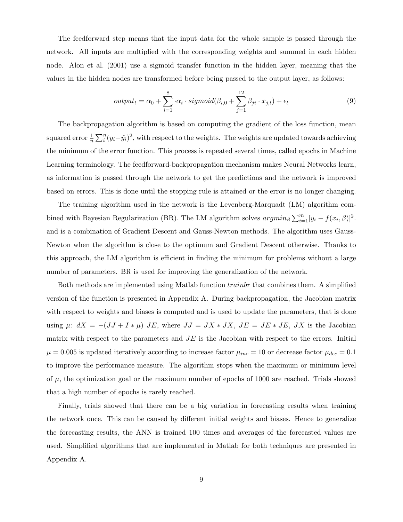The feedforward step means that the input data for the whole sample is passed through the network. All inputs are multiplied with the corresponding weights and summed in each hidden node. Alon et al. (2001) use a sigmoid transfer function in the hidden layer, meaning that the values in the hidden nodes are transformed before being passed to the output layer, as follows:

$$
output_t = \alpha_0 + \sum_{i=1}^{8} \cdot \alpha_i \cdot sigmoid(\beta_{i,0} + \sum_{j=1}^{12} \beta_{ji} \cdot x_{j,t}) + \epsilon_t
$$
\n(9)

The backpropagation algorithm is based on computing the gradient of the loss function, mean squared error  $\frac{1}{n} \sum_{i}^{n} (y_i - \hat{y}_i)^2$ , with respect to the weights. The weights are updated towards achieving the minimum of the error function. This process is repeated several times, called epochs in Machine Learning terminology. The feedforward-backpropagation mechanism makes Neural Networks learn, as information is passed through the network to get the predictions and the network is improved based on errors. This is done until the stopping rule is attained or the error is no longer changing.

The training algorithm used in the network is the Levenberg-Marquadt (LM) algorithm combined with Bayesian Regularization (BR). The LM algorithm solves  $argmin_{\beta} \sum_{i=1}^{m} [y_i - f(x_i, \beta)]^2$ . and is a combination of Gradient Descent and Gauss-Newton methods. The algorithm uses Gauss-Newton when the algorithm is close to the optimum and Gradient Descent otherwise. Thanks to this approach, the LM algorithm is efficient in finding the minimum for problems without a large number of parameters. BR is used for improving the generalization of the network.

Both methods are implemented using Matlab function *trainbr* that combines them. A simplified version of the function is presented in Appendix A. During backpropagation, the Jacobian matrix with respect to weights and biases is computed and is used to update the parameters, that is done using  $\mu$ :  $dX = -(JJ + I * \mu) JE$ , where  $JJ = JX * JX$ ,  $JE = JE * JE$ ,  $JX$  is the Jacobian matrix with respect to the parameters and  $JE$  is the Jacobian with respect to the errors. Initial  $\mu = 0.005$  is updated iteratively according to increase factor  $\mu_{inc} = 10$  or decrease factor  $\mu_{dec} = 0.1$ to improve the performance measure. The algorithm stops when the maximum or minimum level of  $\mu$ , the optimization goal or the maximum number of epochs of 1000 are reached. Trials showed that a high number of epochs is rarely reached.

Finally, trials showed that there can be a big variation in forecasting results when training the network once. This can be caused by different initial weights and biases. Hence to generalize the forecasting results, the ANN is trained 100 times and averages of the forecasted values are used. Simplified algorithms that are implemented in Matlab for both techniques are presented in Appendix A.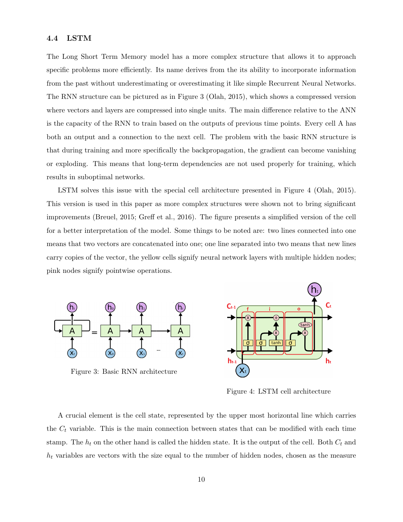#### 4.4 LSTM

The Long Short Term Memory model has a more complex structure that allows it to approach specific problems more efficiently. Its name derives from the its ability to incorporate information from the past without underestimating or overestimating it like simple Recurrent Neural Networks. The RNN structure can be pictured as in Figure 3 (Olah, 2015), which shows a compressed version where vectors and layers are compressed into single units. The main difference relative to the ANN is the capacity of the RNN to train based on the outputs of previous time points. Every cell A has both an output and a connection to the next cell. The problem with the basic RNN structure is that during training and more specifically the backpropagation, the gradient can become vanishing or exploding. This means that long-term dependencies are not used properly for training, which results in suboptimal networks.

LSTM solves this issue with the special cell architecture presented in Figure 4 (Olah, 2015). This version is used in this paper as more complex structures were shown not to bring significant improvements (Breuel, 2015; Greff et al., 2016). The figure presents a simplified version of the cell for a better interpretation of the model. Some things to be noted are: two lines connected into one means that two vectors are concatenated into one; one line separated into two means that new lines carry copies of the vector, the yellow cells signify neural network layers with multiple hidden nodes; pink nodes signify pointwise operations.



Figure 3: Basic RNN architecture



Figure 4: LSTM cell architecture

A crucial element is the cell state, represented by the upper most horizontal line which carries the  $C_t$  variable. This is the main connection between states that can be modified with each time stamp. The  $h_t$  on the other hand is called the hidden state. It is the output of the cell. Both  $C_t$  and  $h_t$  variables are vectors with the size equal to the number of hidden nodes, chosen as the measure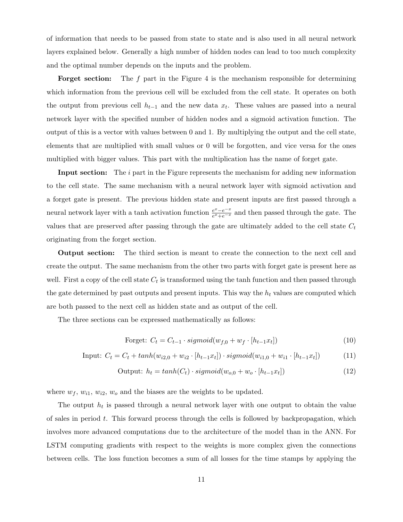of information that needs to be passed from state to state and is also used in all neural network layers explained below. Generally a high number of hidden nodes can lead to too much complexity and the optimal number depends on the inputs and the problem.

**Forget section:** The f part in the Figure 4 is the mechanism responsible for determining which information from the previous cell will be excluded from the cell state. It operates on both the output from previous cell  $h_{t-1}$  and the new data  $x_t$ . These values are passed into a neural network layer with the specified number of hidden nodes and a sigmoid activation function. The output of this is a vector with values between 0 and 1. By multiplying the output and the cell state, elements that are multiplied with small values or 0 will be forgotten, and vice versa for the ones multiplied with bigger values. This part with the multiplication has the name of forget gate.

**Input section:** The  $i$  part in the Figure represents the mechanism for adding new information to the cell state. The same mechanism with a neural network layer with sigmoid activation and a forget gate is present. The previous hidden state and present inputs are first passed through a neural network layer with a tanh activation function  $\frac{e^x - e^{-x}}{e^x + e^{-x}}$  $\frac{e^x-e^{-x}}{e^x+e^{-x}}$  and then passed through the gate. The values that are preserved after passing through the gate are ultimately added to the cell state  $C_t$ originating from the forget section.

Output section: The third section is meant to create the connection to the next cell and create the output. The same mechanism from the other two parts with forget gate is present here as well. First a copy of the cell state  $C_t$  is transformed using the tanh function and then passed through the gate determined by past outputs and present inputs. This way the  $h_t$  values are computed which are both passed to the next cell as hidden state and as output of the cell.

The three sections can be expressed mathematically as follows:

$$
\text{Forget: } C_t = C_{t-1} \cdot sigmoid(w_{f,0} + w_f \cdot [h_{t-1}x_t]) \tag{10}
$$

Input: 
$$
C_t = C_t + tanh(w_{i2,0} + w_{i2} \cdot [h_{t-1}x_t]) \cdot sigmoid(w_{i1,0} + w_{i1} \cdot [h_{t-1}x_t])
$$
 (11)

$$
Output: h_t = tanh(C_t) \cdot sigmoid(w_{o,0} + w_o \cdot [h_{t-1}x_t]) \tag{12}
$$

where  $w_f, w_{i1}, w_{i2}, w_o$  and the biases are the weights to be updated.

The output  $h_t$  is passed through a neural network layer with one output to obtain the value of sales in period  $t$ . This forward process through the cells is followed by backpropagation, which involves more advanced computations due to the architecture of the model than in the ANN. For LSTM computing gradients with respect to the weights is more complex given the connections between cells. The loss function becomes a sum of all losses for the time stamps by applying the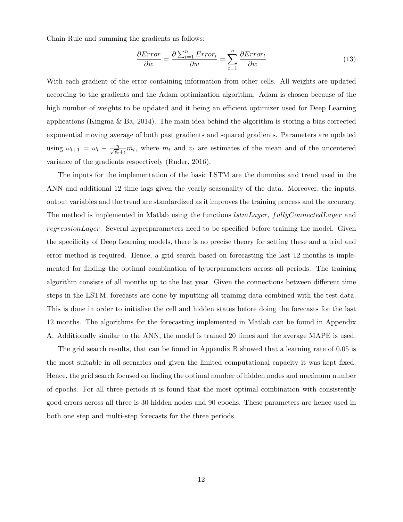Chain Rule and summing the gradients as follows:

$$
\frac{\partial Error}{\partial w} = \frac{\partial \sum_{t=1}^{n} Error_t}{\partial w} = \sum_{t=1}^{n} \frac{\partial Error_t}{\partial w}
$$
(13)

With each gradient of the error containing information from other cells. All weights are updated according to the gradients and the Adam optimization algorithm. Adam is chosen because of the high number of weights to be updated and it being an efficient optimizer used for Deep Learning applications (Kingma  $\&$  Ba, 2014). The main idea behind the algorithm is storing a bias corrected exponential moving average of both past gradients and squared gradients. Parameters are updated using  $\omega_{t+1} = \omega_t - \frac{\eta}{\sqrt{\hat{v}_t} + \epsilon} \hat{m}_t$ , where  $m_t$  and  $v_t$  are estimates of the mean and of the uncentered variance of the gradients respectively (Ruder, 2016).

The inputs for the implementation of the basic LSTM are the dummies and trend used in the ANN and additional 12 time lags given the yearly seasonality of the data. Moreover, the inputs, output variables and the trend are standardized as it improves the training process and the accuracy. The method is implemented in Matlab using the functions *lstmLayer*, fullyConnectedLayer and regressionLayer. Several hyperparameters need to be specified before training the model. Given the specificity of Deep Learning models, there is no precise theory for setting these and a trial and error method is required. Hence, a grid search based on forecasting the last 12 months is implemented for finding the optimal combination of hyperparameters across all periods. The training algorithm consists of all months up to the last year. Given the connections between different time steps in the LSTM, forecasts are done by inputting all training data combined with the test data. This is done in order to initialise the cell and hidden states before doing the forecasts for the last 12 months. The algorithms for the forecasting implemented in Matlab can be found in Appendix A. Additionally similar to the ANN, the model is trained 20 times and the average MAPE is used.

The grid search results, that can be found in Appendix B showed that a learning rate of 0.05 is the most suitable in all scenarios and given the limited computational capacity it was kept fixed. Hence, the grid search focused on finding the optimal number of hidden nodes and maximum number of epochs. For all three periods it is found that the most optimal combination with consistently good errors across all three is 30 hidden nodes and 90 epochs. These parameters are hence used in both one step and multi-step forecasts for the three periods.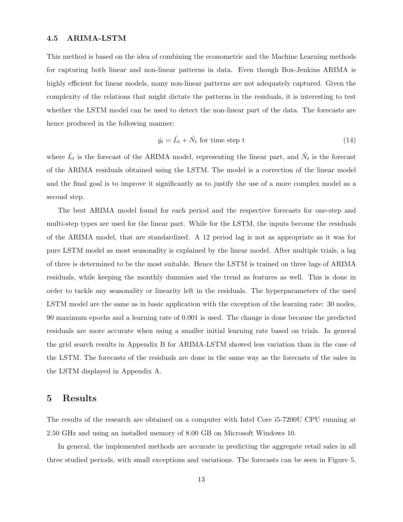#### 4.5 ARIMA-LSTM

This method is based on the idea of combining the econometric and the Machine Learning methods for capturing both linear and non-linear patterns in data. Even though Box-Jenkins ARIMA is highly efficient for linear models, many non-linear patterns are not adequately captured. Given the complexity of the relations that might dictate the patterns in the residuals, it is interesting to test whether the LSTM model can be used to detect the non-linear part of the data. The forecasts are hence produced in the following manner:

$$
\hat{y}_t = \hat{L}_t + \hat{N}_t \text{ for time step t} \tag{14}
$$

where  $\hat{L}_t$  is the forecast of the ARIMA model, representing the linear part, and  $\hat{N}_t$  is the forecast of the ARIMA residuals obtained using the LSTM. The model is a correction of the linear model and the final goal is to improve it significantly as to justify the use of a more complex model as a second step.

The best ARIMA model found for each period and the respective forecasts for one-step and multi-step types are used for the linear part. While for the LSTM, the inputs become the residuals of the ARIMA model, that are standardized. A 12 period lag is not as appropriate as it was for pure LSTM model as most seasonality is explained by the linear model. After multiple trials, a lag of three is determined to be the most suitable. Hence the LSTM is trained on three lags of ARIMA residuals, while keeping the monthly dummies and the trend as features as well. This is done in order to tackle any seasonality or linearity left in the residuals. The hyperparameters of the used LSTM model are the same as in basic application with the exception of the learning rate: 30 nodes, 90 maximum epochs and a learning rate of 0.001 is used. The change is done because the predicted residuals are more accurate when using a smaller initial learning rate based on trials. In general the grid search results in Appendix B for ARIMA-LSTM showed less variation than in the case of the LSTM. The forecasts of the residuals are done in the same way as the forecasts of the sales in the LSTM displayed in Appendix A.

### 5 Results

The results of the research are obtained on a computer with Intel Core i5-7200U CPU running at 2.50 GHz and using an installed memory of 8.00 GB on Microsoft Windows 10.

In general, the implemented methods are accurate in predicting the aggregate retail sales in all three studied periods, with small exceptions and variations. The forecasts can be seen in Figure 5.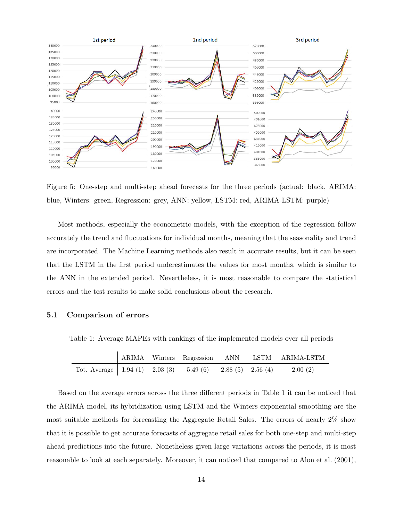

Figure 5: One-step and multi-step ahead forecasts for the three periods (actual: black, ARIMA: blue, Winters: green, Regression: grey, ANN: yellow, LSTM: red, ARIMA-LSTM: purple)

Most methods, especially the econometric models, with the exception of the regression follow accurately the trend and fluctuations for individual months, meaning that the seasonality and trend are incorporated. The Machine Learning methods also result in accurate results, but it can be seen that the LSTM in the first period underestimates the values for most months, which is similar to the ANN in the extended period. Nevertheless, it is most reasonable to compare the statistical errors and the test results to make solid conclusions about the research.

#### 5.1 Comparison of errors

Table 1: Average MAPEs with rankings of the implemented models over all periods

|                                                                 |  |  | ARIMA Winters Regression ANN LSTM ARIMA-LSTM |
|-----------------------------------------------------------------|--|--|----------------------------------------------|
| Tot. Average   1.94 (1) $2.03(3)$ $5.49(6)$ $2.88(5)$ $2.56(4)$ |  |  | 2.00(2)                                      |

Based on the average errors across the three different periods in Table 1 it can be noticed that the ARIMA model, its hybridization using LSTM and the Winters exponential smoothing are the most suitable methods for forecasting the Aggregate Retail Sales. The errors of nearly 2% show that it is possible to get accurate forecasts of aggregate retail sales for both one-step and multi-step ahead predictions into the future. Nonetheless given large variations across the periods, it is most reasonable to look at each separately. Moreover, it can noticed that compared to Alon et al. (2001),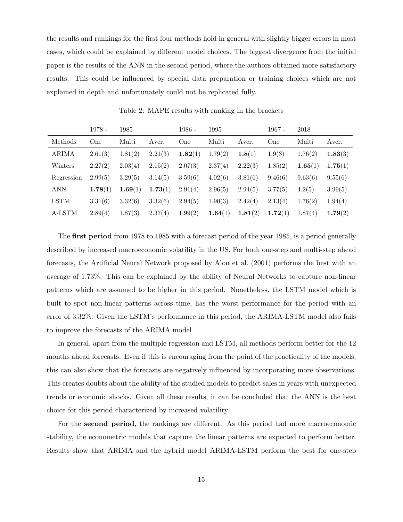the results and rankings for the first four methods hold in general with slightly bigger errors in most cases, which could be explained by different model choices. The biggest divergence from the initial paper is the results of the ANN in the second period, where the authors obtained more satisfactory results. This could be influenced by special data preparation or training choices which are not explained in depth and unfortunately could not be replicated fully.

|             | 1978 -  | 1985    |         | 1986 -  | 1995    |         | $1967 -$ | 2018    |         |
|-------------|---------|---------|---------|---------|---------|---------|----------|---------|---------|
| Methods     | One     | Multi   | Aver.   | One     | Multi   | Aver.   | One      | Multi   | Aver.   |
| ARIMA       | 2.61(3) | 1.81(2) | 2.21(3) | 1.82(1) | 1.79(2) | 1.8(1)  | 1.9(3)   | 1.76(2) | 1.83(3) |
| Winters     | 2.27(2) | 2.03(4) | 2.15(2) | 2.07(3) | 2.37(4) | 2.22(3) | 1.85(2)  | 1.65(1) | 1.75(1) |
| Regression  | 2.99(5) | 3.29(5) | 3.14(5) | 3.59(6) | 4.02(6) | 3.81(6) | 9.46(6)  | 9.63(6) | 9.55(6) |
| <b>ANN</b>  | 1.78(1) | 1.69(1) | 1.73(1) | 2.91(4) | 2.96(5) | 2.94(5) | 3.77(5)  | 4.2(5)  | 3.99(5) |
| <b>LSTM</b> | 3.31(6) | 3.32(6) | 3.32(6) | 2.94(5) | 1.90(3) | 2.42(4) | 2.13(4)  | 1.76(2) | 1.94(4) |
| A-LSTM      | 2.89(4) | 1.87(3) | 2.37(4) | 1.99(2) | 1.64(1) | 1.81(2) | 1.72(1)  | 1.87(4) | 1.79(2) |

Table 2: MAPE results with ranking in the brackets

The **first period** from 1978 to 1985 with a forecast period of the year 1985, is a period generally described by increased macroeconomic volatility in the US. For both one-step and multi-step ahead forecasts, the Artificial Neural Network proposed by Alon et al. (2001) performs the best with an average of 1.73%. This can be explained by the ability of Neural Networks to capture non-linear patterns which are assumed to be higher in this period. Nonetheless, the LSTM model which is built to spot non-linear patterns across time, has the worst performance for the period with an error of 3.32%. Given the LSTM's performance in this period, the ARIMA-LSTM model also fails to improve the forecasts of the ARIMA model .

In general, apart from the multiple regression and LSTM, all methods perform better for the 12 months ahead forecasts. Even if this is encouraging from the point of the practicality of the models, this can also show that the forecasts are negatively influenced by incorporating more observations. This creates doubts about the ability of the studied models to predict sales in years with unexpected trends or economic shocks. Given all these results, it can be concluded that the ANN is the best choice for this period characterized by increased volatility.

For the second period, the rankings are different. As this period had more macroeconomic stability, the econometric models that capture the linear patterns are expected to perform better. Results show that ARIMA and the hybrid model ARIMA-LSTM perform the best for one-step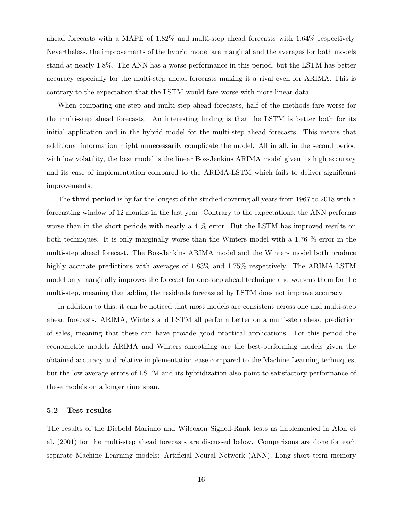ahead forecasts with a MAPE of 1.82% and multi-step ahead forecasts with 1.64% respectively. Nevertheless, the improvements of the hybrid model are marginal and the averages for both models stand at nearly 1.8%. The ANN has a worse performance in this period, but the LSTM has better accuracy especially for the multi-step ahead forecasts making it a rival even for ARIMA. This is contrary to the expectation that the LSTM would fare worse with more linear data.

When comparing one-step and multi-step ahead forecasts, half of the methods fare worse for the multi-step ahead forecasts. An interesting finding is that the LSTM is better both for its initial application and in the hybrid model for the multi-step ahead forecasts. This means that additional information might unnecessarily complicate the model. All in all, in the second period with low volatility, the best model is the linear Box-Jenkins ARIMA model given its high accuracy and its ease of implementation compared to the ARIMA-LSTM which fails to deliver significant improvements.

The third period is by far the longest of the studied covering all years from 1967 to 2018 with a forecasting window of 12 months in the last year. Contrary to the expectations, the ANN performs worse than in the short periods with nearly a  $4\%$  error. But the LSTM has improved results on both techniques. It is only marginally worse than the Winters model with a 1.76 % error in the multi-step ahead forecast. The Box-Jenkins ARIMA model and the Winters model both produce highly accurate predictions with averages of  $1.83\%$  and  $1.75\%$  respectively. The ARIMA-LSTM model only marginally improves the forecast for one-step ahead technique and worsens them for the multi-step, meaning that adding the residuals forecasted by LSTM does not improve accuracy.

In addition to this, it can be noticed that most models are consistent across one and multi-step ahead forecasts. ARIMA, Winters and LSTM all perform better on a multi-step ahead prediction of sales, meaning that these can have provide good practical applications. For this period the econometric models ARIMA and Winters smoothing are the best-performing models given the obtained accuracy and relative implementation ease compared to the Machine Learning techniques, but the low average errors of LSTM and its hybridization also point to satisfactory performance of these models on a longer time span.

#### 5.2 Test results

The results of the Diebold Mariano and Wilcoxon Signed-Rank tests as implemented in Alon et al. (2001) for the multi-step ahead forecasts are discussed below. Comparisons are done for each separate Machine Learning models: Artificial Neural Network (ANN), Long short term memory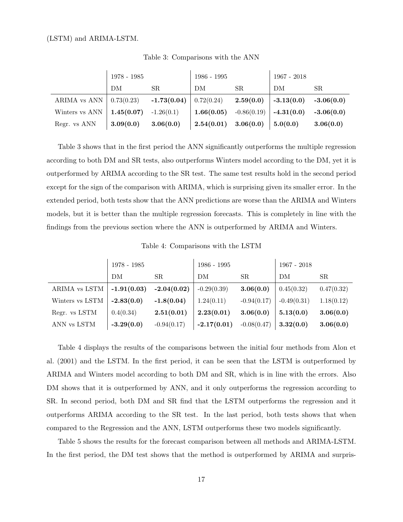|                                             | $1978 - 1985$             |           | 1986 - 1995 |               | 1967 - 2018  |              |
|---------------------------------------------|---------------------------|-----------|-------------|---------------|--------------|--------------|
|                                             | DM                        | SR.       | DM          | SR.           | DM           | SR.          |
| ARIMA vs ANN $\vert$ 0.73(0.23) -1.73(0.04) |                           |           | 0.72(0.24)  | 2.59(0.0)     | $-3.13(0.0)$ | $-3.06(0.0)$ |
| Winters vs ANN                              | $1.45(0.07)$ $-1.26(0.1)$ |           | 1.66(0.05)  | $-0.86(0.19)$ | $-4.31(0.0)$ | $-3.06(0.0)$ |
| Regr. vs ANN                                | 3.09(0.0)                 | 3.06(0.0) | 2.54(0.01)  | 3.06(0.0)     | 5.0(0.0)     | 3.06(0.0)    |

Table 3: Comparisons with the ANN

Table 3 shows that in the first period the ANN significantly outperforms the multiple regression according to both DM and SR tests, also outperforms Winters model according to the DM, yet it is outperformed by ARIMA according to the SR test. The same test results hold in the second period except for the sign of the comparison with ARIMA, which is surprising given its smaller error. In the extended period, both tests show that the ANN predictions are worse than the ARIMA and Winters models, but it is better than the multiple regression forecasts. This is completely in line with the findings from the previous section where the ANN is outperformed by ARIMA and Winters.

Table 4: Comparisons with the LSTM

|                 | $1978 - 1985$ |               | 1986 - 1995   |               | $1967 - 2018$ |            |
|-----------------|---------------|---------------|---------------|---------------|---------------|------------|
|                 | DM            | SR.           | DM            | SR.           | DM            | SR.        |
| ARIMA vs LSTM   | $-1.91(0.03)$ | $-2.04(0.02)$ | $-0.29(0.39)$ | 3.06(0.0)     | 0.45(0.32)    | 0.47(0.32) |
| Winters vs LSTM | $-2.83(0.0)$  | $-1.8(0.04)$  | 1.24(0.11)    | $-0.94(0.17)$ | $-0.49(0.31)$ | 1.18(0.12) |
| Regr. vs LSTM   | 0.4(0.34)     | 2.51(0.01)    | 2.23(0.01)    | 3.06(0.0)     | 5.13(0.0)     | 3.06(0.0)  |
| ANN vs LSTM     | $-3.29(0.0)$  | $-0.94(0.17)$ | $-2.17(0.01)$ | $-0.08(0.47)$ | 3.32(0.0)     | 3.06(0.0)  |

Table 4 displays the results of the comparisons between the initial four methods from Alon et al. (2001) and the LSTM. In the first period, it can be seen that the LSTM is outperformed by ARIMA and Winters model according to both DM and SR, which is in line with the errors. Also DM shows that it is outperformed by ANN, and it only outperforms the regression according to SR. In second period, both DM and SR find that the LSTM outperforms the regression and it outperforms ARIMA according to the SR test. In the last period, both tests shows that when compared to the Regression and the ANN, LSTM outperforms these two models significantly.

Table 5 shows the results for the forecast comparison between all methods and ARIMA-LSTM. In the first period, the DM test shows that the method is outperformed by ARIMA and surpris-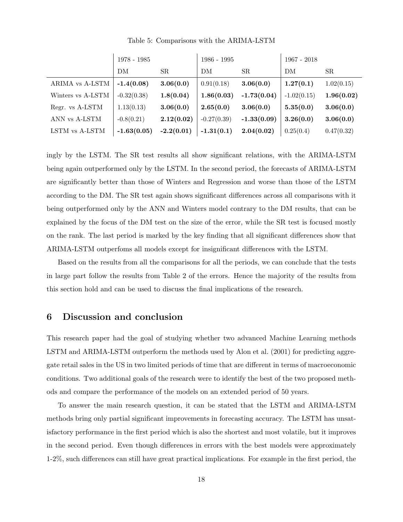|                   | 1978 - 1985   |              | 1986 - 1995   |               | $1967 - 2018$ |            |
|-------------------|---------------|--------------|---------------|---------------|---------------|------------|
|                   | DM            | SR.          | DM            | SR.           | DM            | SR         |
| ARIMA vs A-LSTM   | $-1.4(0.08)$  | 3.06(0.0)    | 0.91(0.18)    | 3.06(0.0)     | 1.27(0.1)     | 1.02(0.15) |
| Winters vs A-LSTM | $-0.32(0.38)$ | 1.8(0.04)    | 1.86(0.03)    | $-1.73(0.04)$ | $-1.02(0.15)$ | 1.96(0.02) |
| Regr. vs A-LSTM   | 1.13(0.13)    | 3.06(0.0)    | 2.65(0.0)     | 3.06(0.0)     | 5.35(0.0)     | 3.06(0.0)  |
| ANN vs A-LSTM     | $-0.8(0.21)$  | 2.12(0.02)   | $-0.27(0.39)$ | $-1.33(0.09)$ | 3.26(0.0)     | 3.06(0.0)  |
| LSTM vs A-LSTM    | $-1.63(0.05)$ | $-2.2(0.01)$ | $-1.31(0.1)$  | 2.04(0.02)    | 0.25(0.4)     | 0.47(0.32) |

Table 5: Comparisons with the ARIMA-LSTM

ingly by the LSTM. The SR test results all show significant relations, with the ARIMA-LSTM being again outperformed only by the LSTM. In the second period, the forecasts of ARIMA-LSTM are significantly better than those of Winters and Regression and worse than those of the LSTM according to the DM. The SR test again shows significant differences across all comparisons with it being outperformed only by the ANN and Winters model contrary to the DM results, that can be explained by the focus of the DM test on the size of the error, while the SR test is focused mostly on the rank. The last period is marked by the key finding that all significant differences show that ARIMA-LSTM outperfoms all models except for insignificant differences with the LSTM.

Based on the results from all the comparisons for all the periods, we can conclude that the tests in large part follow the results from Table 2 of the errors. Hence the majority of the results from this section hold and can be used to discuss the final implications of the research.

## 6 Discussion and conclusion

This research paper had the goal of studying whether two advanced Machine Learning methods LSTM and ARIMA-LSTM outperform the methods used by Alon et al. (2001) for predicting aggregate retail sales in the US in two limited periods of time that are different in terms of macroeconomic conditions. Two additional goals of the research were to identify the best of the two proposed methods and compare the performance of the models on an extended period of 50 years.

To answer the main research question, it can be stated that the LSTM and ARIMA-LSTM methods bring only partial significant improvements in forecasting accuracy. The LSTM has unsatisfactory performance in the first period which is also the shortest and most volatile, but it improves in the second period. Even though differences in errors with the best models were approximately 1-2%, such differences can still have great practical implications. For example in the first period, the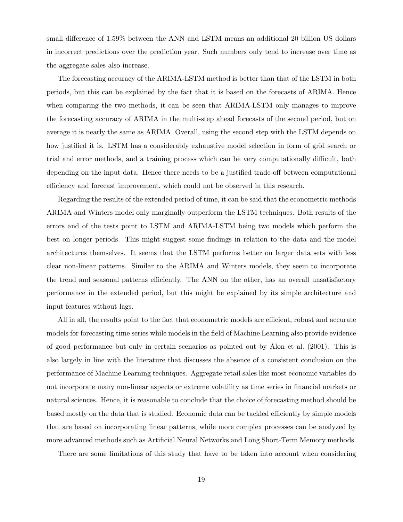small difference of 1.59% between the ANN and LSTM means an additional 20 billion US dollars in incorrect predictions over the prediction year. Such numbers only tend to increase over time as the aggregate sales also increase.

The forecasting accuracy of the ARIMA-LSTM method is better than that of the LSTM in both periods, but this can be explained by the fact that it is based on the forecasts of ARIMA. Hence when comparing the two methods, it can be seen that ARIMA-LSTM only manages to improve the forecasting accuracy of ARIMA in the multi-step ahead forecasts of the second period, but on average it is nearly the same as ARIMA. Overall, using the second step with the LSTM depends on how justified it is. LSTM has a considerably exhaustive model selection in form of grid search or trial and error methods, and a training process which can be very computationally difficult, both depending on the input data. Hence there needs to be a justified trade-off between computational efficiency and forecast improvement, which could not be observed in this research.

Regarding the results of the extended period of time, it can be said that the econometric methods ARIMA and Winters model only marginally outperform the LSTM techniques. Both results of the errors and of the tests point to LSTM and ARIMA-LSTM being two models which perform the best on longer periods. This might suggest some findings in relation to the data and the model architectures themselves. It seems that the LSTM performs better on larger data sets with less clear non-linear patterns. Similar to the ARIMA and Winters models, they seem to incorporate the trend and seasonal patterns efficiently. The ANN on the other, has an overall unsatisfactory performance in the extended period, but this might be explained by its simple architecture and input features without lags.

All in all, the results point to the fact that econometric models are efficient, robust and accurate models for forecasting time series while models in the field of Machine Learning also provide evidence of good performance but only in certain scenarios as pointed out by Alon et al. (2001). This is also largely in line with the literature that discusses the absence of a consistent conclusion on the performance of Machine Learning techniques. Aggregate retail sales like most economic variables do not incorporate many non-linear aspects or extreme volatility as time series in financial markets or natural sciences. Hence, it is reasonable to conclude that the choice of forecasting method should be based mostly on the data that is studied. Economic data can be tackled efficiently by simple models that are based on incorporating linear patterns, while more complex processes can be analyzed by more advanced methods such as Artificial Neural Networks and Long Short-Term Memory methods.

There are some limitations of this study that have to be taken into account when considering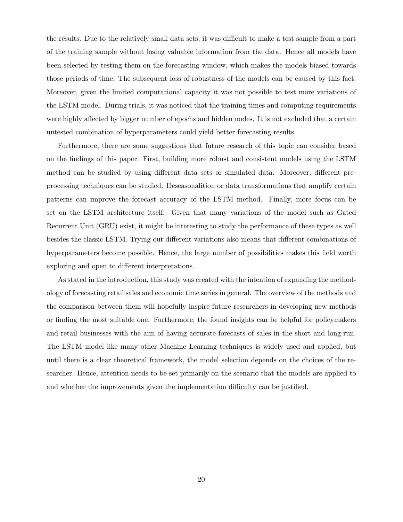the results. Due to the relatively small data sets, it was difficult to make a test sample from a part of the training sample without losing valuable information from the data. Hence all models have been selected by testing them on the forecasting window, which makes the models biased towards those periods of time. The subsequent loss of robustness of the models can be caused by this fact. Moreover, given the limited computational capacity it was not possible to test more variations of the LSTM model. During trials, it was noticed that the training times and computing requirements were highly affected by bigger number of epochs and hidden nodes. It is not excluded that a certain untested combination of hyperparameters could yield better forecasting results.

Furthermore, there are some suggestions that future research of this topic can consider based on the findings of this paper. First, building more robust and consistent models using the LSTM method can be studied by using different data sets or simulated data. Moreover, different preprocessing techniques can be studied. Deseasonalition or data transformations that amplify certain patterns can improve the forecast accuracy of the LSTM method. Finally, more focus can be set on the LSTM architecture itself. Given that many variations of the model such as Gated Recurrent Unit (GRU) exist, it might be interesting to study the performance of these types as well besides the classic LSTM. Trying out different variations also means that different combinations of hyperparameters become possible. Hence, the large number of possibilities makes this field worth exploring and open to different interpretations.

As stated in the introduction, this study was created with the intention of expanding the methodology of forecasting retail sales and economic time series in general. The overview of the methods and the comparison between them will hopefully inspire future researchers in developing new methods or finding the most suitable one. Furthermore, the found insights can be helpful for policymakers and retail businesses with the aim of having accurate forecasts of sales in the short and long-run. The LSTM model like many other Machine Learning techniques is widely used and applied, but until there is a clear theoretical framework, the model selection depends on the choices of the researcher. Hence, attention needs to be set primarily on the scenario that the models are applied to and whether the improvements given the implementation difficulty can be justified.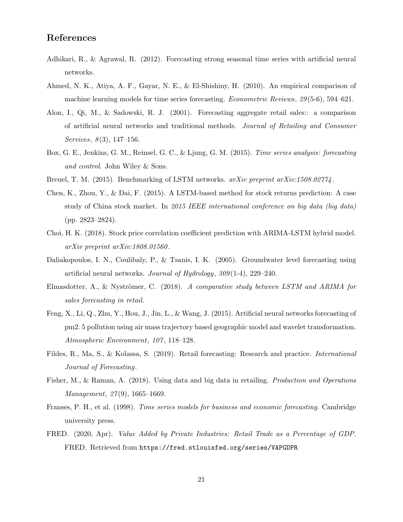# References

- Adhikari, R., & Agrawal, R. (2012). Forecasting strong seasonal time series with artificial neural networks.
- Ahmed, N. K., Atiya, A. F., Gayar, N. E., & El-Shishiny, H. (2010). An empirical comparison of machine learning models for time series forecasting. *Econometric Reviews*, 29(5-6), 594–621.
- Alon, I., Qi, M., & Sadowski, R. J. (2001). Forecasting aggregate retail sales:: a comparison of artificial neural networks and traditional methods. Journal of Retailing and Consumer Services,  $8(3)$ , 147–156.
- Box, G. E., Jenkins, G. M., Reinsel, G. C., & Ljung, G. M. (2015). Time series analysis: forecasting and control. John Wiley & Sons.
- Breuel, T. M. (2015). Benchmarking of LSTM networks. arXiv preprint arXiv:1508.02774.
- Chen, K., Zhou, Y., & Dai, F. (2015). A LSTM-based method for stock returns prediction: A case study of China stock market. In 2015 IEEE international conference on big data (big data) (pp. 2823–2824).
- Choi, H. K. (2018). Stock price correlation coefficient prediction with ARIMA-LSTM hybrid model. arXiv preprint arXiv:1808.01560 .
- Daliakopoulos, I. N., Coulibaly, P., & Tsanis, I. K. (2005). Groundwater level forecasting using artificial neural networks. Journal of Hydrology, 309 (1-4), 229–240.
- Elmasdotter, A., & Nyströmer, C. (2018). A comparative study between LSTM and ARIMA for sales forecasting in retail.
- Feng, X., Li, Q., Zhu, Y., Hou, J., Jin, L., & Wang, J. (2015). Artificial neural networks forecasting of pm2. 5 pollution using air mass trajectory based geographic model and wavelet transformation. Atmospheric Environment, 107, 118-128.
- Fildes, R., Ma, S., & Kolassa, S. (2019). Retail forecasting: Research and practice. International Journal of Forecasting.
- Fisher, M., & Raman, A. (2018). Using data and big data in retailing. Production and Operations Management, 27(9), 1665–1669.
- Franses, P. H., et al. (1998). Time series models for business and economic forecasting. Cambridge university press.
- FRED. (2020, Apr). Value Added by Private Industries: Retail Trade as a Percentage of GDP. FRED. Retrieved from https://fred.stlouisfed.org/series/VAPGDPR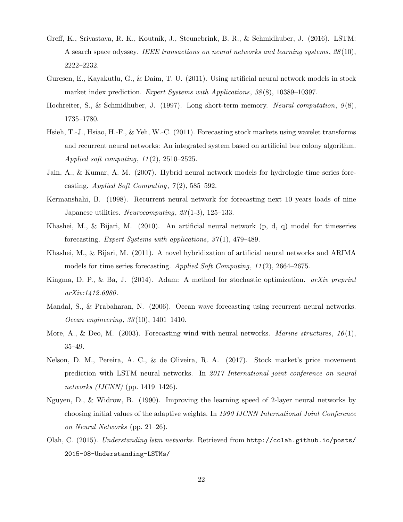- Greff, K., Srivastava, R. K., Koutník, J., Steunebrink, B. R., & Schmidhuber, J. (2016). LSTM: A search space odyssey. IEEE transactions on neural networks and learning systems, 28 (10), 2222–2232.
- Guresen, E., Kayakutlu, G., & Daim, T. U. (2011). Using artificial neural network models in stock market index prediction. Expert Systems with Applications, 38 (8), 10389–10397.
- Hochreiter, S., & Schmidhuber, J. (1997). Long short-term memory. Neural computation,  $g(8)$ , 1735–1780.
- Hsieh, T.-J., Hsiao, H.-F., & Yeh, W.-C. (2011). Forecasting stock markets using wavelet transforms and recurrent neural networks: An integrated system based on artificial bee colony algorithm. Applied soft computing, 11 (2), 2510–2525.
- Jain, A., & Kumar, A. M. (2007). Hybrid neural network models for hydrologic time series forecasting. Applied Soft Computing,  $7(2)$ , 585–592.
- Kermanshahi, B. (1998). Recurrent neural network for forecasting next 10 years loads of nine Japanese utilities. Neurocomputing, 23 (1-3), 125–133.
- Khashei, M., & Bijari, M. (2010). An artificial neural network (p, d, q) model for timeseries forecasting. Expert Systems with applications, 37 (1), 479–489.
- Khashei, M., & Bijari, M. (2011). A novel hybridization of artificial neural networks and ARIMA models for time series forecasting. Applied Soft Computing, 11 (2), 2664–2675.
- Kingma, D. P., & Ba, J. (2014). Adam: A method for stochastic optimization.  $arXiv$  preprint arXiv:1412.6980 .
- Mandal, S., & Prabaharan, N. (2006). Ocean wave forecasting using recurrent neural networks. Ocean engineering, 33 (10), 1401–1410.
- More, A., & Deo, M. (2003). Forecasting wind with neural networks. Marine structures,  $16(1)$ , 35–49.
- Nelson, D. M., Pereira, A. C., & de Oliveira, R. A. (2017). Stock market's price movement prediction with LSTM neural networks. In 2017 International joint conference on neural networks  $(IJCNN)$  (pp. 1419–1426).
- Nguyen, D., & Widrow, B. (1990). Improving the learning speed of 2-layer neural networks by choosing initial values of the adaptive weights. In 1990 IJCNN International Joint Conference on Neural Networks (pp. 21–26).
- Olah, C. (2015). Understanding lstm networks. Retrieved from http://colah.github.io/posts/ 2015-08-Understanding-LSTMs/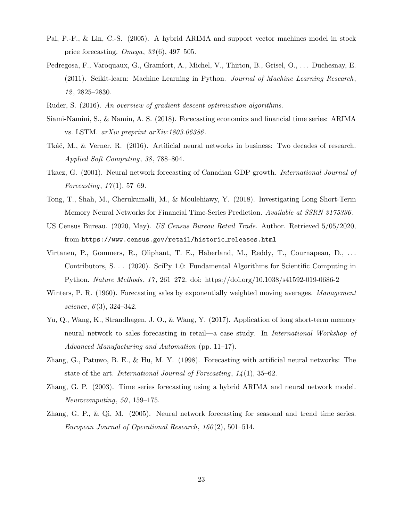- Pai, P.-F., & Lin, C.-S. (2005). A hybrid ARIMA and support vector machines model in stock price forecasting. Omega,  $33(6)$ ,  $497-505$ .
- Pedregosa, F., Varoquaux, G., Gramfort, A., Michel, V., Thirion, B., Grisel, O., . . . Duchesnay, E. (2011). Scikit-learn: Machine Learning in Python. Journal of Machine Learning Research, 12 , 2825–2830.
- Ruder, S. (2016). An overview of gradient descent optimization algorithms.
- Siami-Namini, S., & Namin, A. S. (2018). Forecasting economics and financial time series: ARIMA vs. LSTM. arXiv preprint arXiv:1803.06386 .
- Tkáč, M., & Verner, R. (2016). Artificial neural networks in business: Two decades of research. Applied Soft Computing, 38 , 788–804.
- Tkacz, G. (2001). Neural network forecasting of Canadian GDP growth. International Journal of Forecasting,  $17(1)$ , 57–69.
- Tong, T., Shah, M., Cherukumalli, M., & Moulehiawy, Y. (2018). Investigating Long Short-Term Memory Neural Networks for Financial Time-Series Prediction. Available at SSRN 3175336.
- US Census Bureau. (2020, May). US Census Bureau Retail Trade. Author. Retrieved 5/05/2020, from https://www.census.gov/retail/historic releases.html
- Virtanen, P., Gommers, R., Oliphant, T. E., Haberland, M., Reddy, T., Cournapeau, D., . . . Contributors, S. . . (2020). SciPy 1.0: Fundamental Algorithms for Scientific Computing in Python. Nature Methods, 17 , 261–272. doi: https://doi.org/10.1038/s41592-019-0686-2
- Winters, P. R. (1960). Forecasting sales by exponentially weighted moving averages. Management science,  $6(3)$ , 324-342.
- Yu, Q., Wang, K., Strandhagen, J. O., & Wang, Y. (2017). Application of long short-term memory neural network to sales forecasting in retail—a case study. In International Workshop of Advanced Manufacturing and Automation (pp. 11–17).
- Zhang, G., Patuwo, B. E., & Hu, M. Y. (1998). Forecasting with artificial neural networks: The state of the art. International Journal of Forecasting,  $14(1)$ , 35–62.
- Zhang, G. P. (2003). Time series forecasting using a hybrid ARIMA and neural network model.  $Neurocomputing, 50, 159–175.$
- Zhang, G. P., & Qi, M. (2005). Neural network forecasting for seasonal and trend time series. European Journal of Operational Research,  $160(2)$ , 501–514.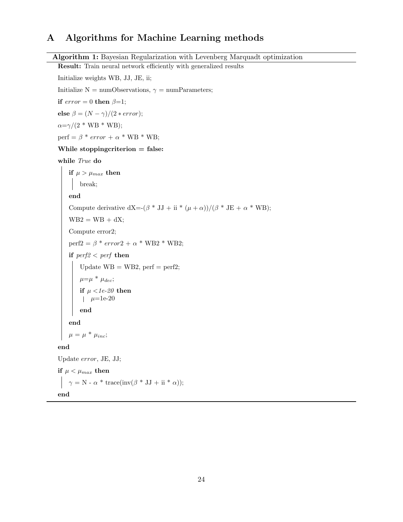# A Algorithms for Machine Learning methods

```
Algorithm 1: Bayesian Regularization with Levenberg Marquadt optimization
  Result: Train neural network efficiently with generalized results
  Initialize weights WB, JJ, JE, ii;
  Initialize N = \text{numObservations}, \gamma = \text{numParameters};if error = 0 then \beta=1;
  else \beta = (N - \gamma)/(2 * error);\alpha = \gamma/(2 * WB * WB);perf = \beta * error + \alpha * WB * WB;
  While stopping criterion = false:
  while True do
      if \mu > \mu_{max} then
          break;
      end
      Compute derivative dX=-(\beta * JJ + ii * (\mu + \alpha))/(\beta * JE + \alpha * WB);WB2 = WB + dX;Compute error2;
      perf2 = \beta * error2 + \alpha * WB2 * WB2;
      if perf2 < perf then
          Update WB = WB2, perf = perf2;
          \mu=\mu * \mu_{dec};if \mu < 1e-20 then
           \mu = 1e-20end
      end
      \mu = \mu * \mu_{inc};end
  Update error, JE, JJ;
  if \mu < \mu_{max} then
     \gamma = N - \alpha * \text{trace}(inv(\beta * JJ + ii * \alpha));end
```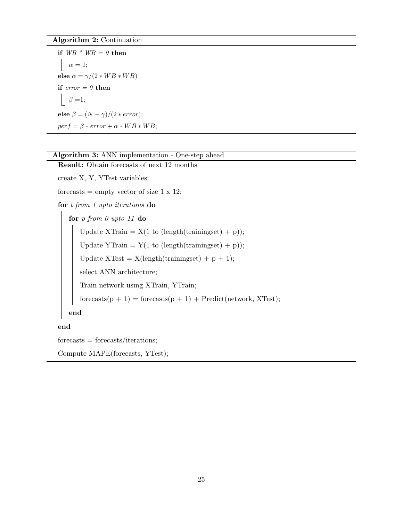#### Algorithm 2: Continuation

```
if WB * WB = 0 then
 \alpha = 1;else \alpha = \gamma/(2 * WB * WB)if error = 0 then
 | \beta = 1;else \beta = (N - \gamma)/(2 * error);perf = \beta * error + \alpha * WB * WB;
```

|  |  | <b>Algorithm 3:</b> ANN implementation - One-step ahead |  |  |
|--|--|---------------------------------------------------------|--|--|
|--|--|---------------------------------------------------------|--|--|

```
Result: Obtain forecasts of next 12 months
create X, Y, YTest variables;
forecasts = empty vector of size 1 \times 12;
for t from 1 upto iterations do
   for p from 0 upto 11 do
       Update XTrain = X(1 \text{ to } (\text{length}(trainingset) + p));Update YTrain = Y(1 \text{ to } (\text{length}(trainingset) + p));Update \; XTest = X(length(trainingset) + p + 1);select ANN architecture;
       Train network using XTrain, YTrain;
       forecasts(p + 1) = forecasts(p + 1) + Predict(network, XTest);end
end
```

```
forecasts = forecasts/iterations;
```

```
Compute MAPE(forecasts, YTest);
```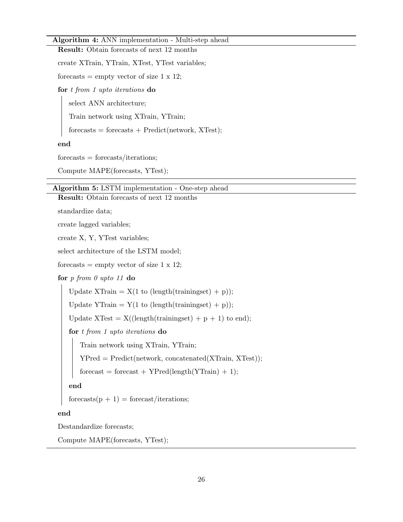#### Algorithm 4: ANN implementation - Multi-step ahead

Result: Obtain forecasts of next 12 months

create XTrain, YTrain, XTest, YTest variables;

forecasts  $=$  empty vector of size 1 x 12;

for t from 1 upto iterations do

select ANN architecture;

Train network using XTrain, YTrain;

 $forecasts = forecasts + Predict(network, XTest);$ 

end

 $forecasts = forecasts/iterations;$ 

Compute MAPE(forecasts, YTest);

#### Algorithm 5: LSTM implementation - One-step ahead

Result: Obtain forecasts of next 12 months

standardize data;

create lagged variables;

create X, Y, YTest variables;

select architecture of the LSTM model;

forecasts  $=$  empty vector of size 1 x 12;

for  $p$  from  $0$  upto 11 do

Update XTrain =  $X(1 \text{ to } (\text{length}(trainingset) + p));$ 

Update YTrain =  $Y(1 \text{ to } (\text{length}(trainingset) + p));$ 

Update  $XTest = X((length(trainingset) + p + 1)$  to end);

for t from 1 upto iterations do

Train network using XTrain, YTrain;

YPred = Predict(network, concatenated(XTrain, XTest));

 $forecast = forecast + YPred(length(YTrain) + 1);$ 

end

 $forecasts(p + 1) = forecast/iterations;$ 

#### end

Destandardize forecasts;

Compute MAPE(forecasts, YTest);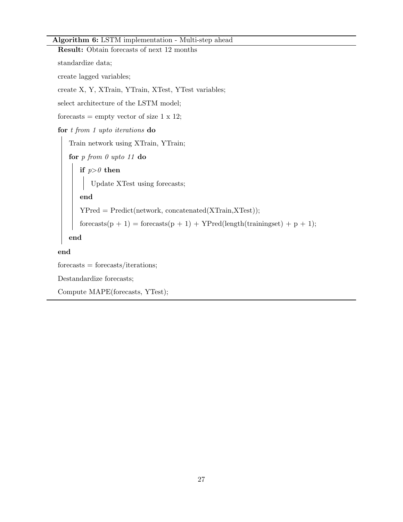```
Algorithm 6: LSTM implementation - Multi-step ahead
 Result: Obtain forecasts of next 12 months
 standardize data;
 create lagged variables;
 create X, Y, XTrain, YTrain, XTest, YTest variables;
 select architecture of the LSTM model;
 forecasts = empty vector of size 1 x 12;
 for t from 1 upto iterations do
     Train network using XTrain, YTrain;
     for p from 0 upto 11 do
        if p>0 then
           Update XTest using forecasts;
        end
        YPred = Predict(network, concatenated(XTrain,XTest));
```

```
\label{eq:1} \text{forecasts}(p\,+\,1) \,=\, \text{forecasts}(p\,+\,1) \,+\, \text{YPred}(\text{length}(\text{trainingset})\,+\,p\,+\,1);
```
end

#### end

 $forecasts = forecasts/iterations;$ Destandardize forecasts; Compute MAPE(forecasts, YTest);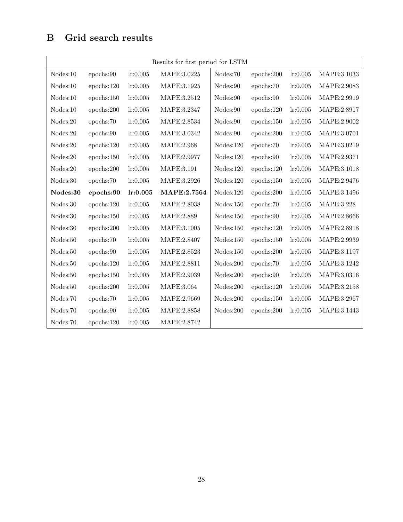# B Grid search results

| Results for first period for LSTM |            |           |             |           |            |           |             |  |  |  |
|-----------------------------------|------------|-----------|-------------|-----------|------------|-----------|-------------|--|--|--|
| Nodes:10                          | epochs:90  | lr:0.005  | MAPE:3.0225 | Nodes:70  | epochs:200 | lr: 0.005 | MAPE:3.1033 |  |  |  |
| Nodes:10                          | epochs:120 | lr:0.005  | MAPE:3.1925 | Nodes:90  | epochs:70  | lr: 0.005 | MAPE:2.9083 |  |  |  |
| Nodes:10                          | epochs:150 | lr: 0.005 | MAPE:3.2512 | Nodes:90  | epochs:90  | lr: 0.005 | MAPE:2.9919 |  |  |  |
| Nodes:10                          | epochs:200 | lr:0.005  | MAPE:3.2347 | Nodes:90  | epochs:120 | lr: 0.005 | MAPE:2.8917 |  |  |  |
| Nodes:20                          | epochs:70  | lr: 0.005 | MAPE:2.8534 | Nodes:90  | epochs:150 | lr: 0.005 | MAPE:2.9002 |  |  |  |
| Nodes:20                          | epochs:90  | lr:0.005  | MAPE:3.0342 | Nodes:90  | epochs:200 | lr: 0.005 | MAPE:3.0701 |  |  |  |
| Nodes:20                          | epochs:120 | lr: 0.005 | MAPE:2.968  | Nodes:120 | epochs:70  | lr: 0.005 | MAPE:3.0219 |  |  |  |
| Nodes:20                          | epochs:150 | lr: 0.005 | MAPE:2.9977 | Nodes:120 | epochs:90  | lr:0.005  | MAPE:2.9371 |  |  |  |
| Nodes:20                          | epochs:200 | lr: 0.005 | MAPE:3.191  | Nodes:120 | epochs:120 | lr: 0.005 | MAPE:3.1018 |  |  |  |
| Nodes:30                          | epochs:70  | lr:0.005  | MAPE:3.2926 | Nodes:120 | epochs:150 | lr: 0.005 | MAPE:2.9476 |  |  |  |
| Nodes:30                          | epochs:90  | lr: 0.005 | MAPE:2.7564 | Nodes:120 | epochs:200 | lr: 0.005 | MAPE:3.1496 |  |  |  |
| Nodes:30                          | epochs:120 | lr:0.005  | MAPE:2.8038 | Nodes:150 | epochs:70  | lr:0.005  | MAPE:3.228  |  |  |  |
| Nodes:30                          | epochs:150 | lr: 0.005 | MAPE:2.889  | Nodes:150 | epochs:90  | lr: 0.005 | MAPE:2.8666 |  |  |  |
| Nodes:30                          | epochs:200 | lr:0.005  | MAPE:3.1005 | Nodes:150 | epochs:120 | lr: 0.005 | MAPE:2.8918 |  |  |  |
| Nodes:50                          | epochs:70  | lr:0.005  | MAPE:2.8407 | Nodes:150 | epochs:150 | lr: 0.005 | MAPE:2.9939 |  |  |  |
| Nodes:50                          | epochs:90  | lr:0.005  | MAPE:2.8523 | Nodes:150 | epochs:200 | lr:0.005  | MAPE:3.1197 |  |  |  |
| Nodes:50                          | epochs:120 | lr:0.005  | MAPE:2.8811 | Nodes:200 | epochs:70  | lr: 0.005 | MAPE:3.1242 |  |  |  |
| Nodes:50                          | epochs:150 | lr: 0.005 | MAPE:2.9039 | Nodes:200 | epochs:90  | lr: 0.005 | MAPE:3.0316 |  |  |  |
| Nodes:50                          | epochs:200 | lr:0.005  | MAPE:3.064  | Nodes:200 | epochs:120 | lr: 0.005 | MAPE:3.2158 |  |  |  |
| Nodes:70                          | epochs:70  | lr: 0.005 | MAPE:2.9669 | Nodes:200 | epochs:150 | lr: 0.005 | MAPE:3.2967 |  |  |  |
| Nodes:70                          | epochs:90  | lr:0.005  | MAPE:2.8858 | Nodes:200 | epochs:200 | lr:0.005  | MAPE:3.1443 |  |  |  |
| Nodes:70                          | epochs:120 | lr: 0.005 | MAPE:2.8742 |           |            |           |             |  |  |  |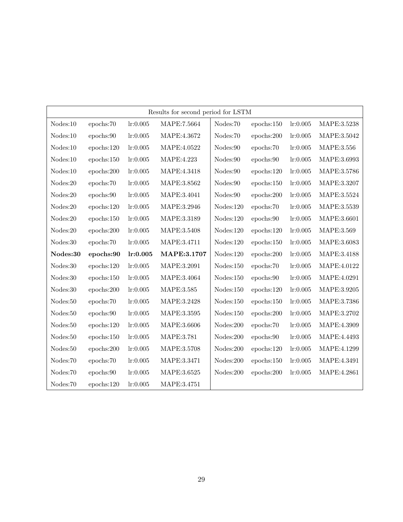| Results for second period for LSTM |            |           |             |                     |            |           |             |  |  |  |
|------------------------------------|------------|-----------|-------------|---------------------|------------|-----------|-------------|--|--|--|
| Nodes:10                           | epochs:70  | lr: 0.005 | MAPE:7.5664 | Nodes:70            | epochs:150 | lr: 0.005 | MAPE:3.5238 |  |  |  |
| Nodes:10                           | epochs:90  | lr:0.005  | MAPE:4.3672 | Nodes:70            | epochs:200 | lr:0.005  | MAPE:3.5042 |  |  |  |
| Nodes:10                           | epochs:120 | lr:0.005  | MAPE:4.0522 | Nodes:90            | epochs:70  | lr:0.005  | MAPE:3.556  |  |  |  |
| Nodes:10                           | epochs:150 | lr: 0.005 | MAPE:4.223  | Nodes:90            | epochs:90  | lr: 0.005 | MAPE:3.6993 |  |  |  |
| Nodes:10                           | epochs:200 | lr:0.005  | MAPE:4.3418 | Nodes:90            | epochs:120 | lr:0.005  | MAPE:3.5786 |  |  |  |
| Nodes:20                           | epochs:70  | lr: 0.005 | MAPE:3.8562 | Nodes:90            | epochs:150 | lr: 0.005 | MAPE:3.3207 |  |  |  |
| Nodes:20                           | epochs:90  | lr:0.005  | MAPE:3.4041 | Nodes:90            | epochs:200 | lr:0.005  | MAPE:3.5524 |  |  |  |
| Nodes:20                           | epochs:120 | lr:0.005  | MAPE:3.2946 | Nodes:120           | epochs:70  | lr:0.005  | MAPE:3.5539 |  |  |  |
| Nodes:20                           | epochs:150 | lr:0.005  | MAPE:3.3189 | Nodes:120           | epochs:90  | lr:0.005  | MAPE:3.6601 |  |  |  |
| Nodes:20                           | epochs:200 | lr: 0.005 | MAPE:3.5408 | $\text{Nodes:} 120$ | epochs:120 | lr: 0.005 | MAPE:3.569  |  |  |  |
| Nodes:30                           | epochs:70  | lr:0.005  | MAPE:3.4711 | Nodes:120           | epochs:150 | lr:0.005  | MAPE:3.6083 |  |  |  |
| Nodes:30                           | epochs:90  | lr: 0.005 | MAPE:3.1707 | Nodes:120           | epochs:200 | lr:0.005  | MAPE:3.4188 |  |  |  |
| Nodes:30                           | epochs:120 | lr: 0.005 | MAPE:3.2091 | Nodes:150           | epochs:70  | lr: 0.005 | MAPE:4.0122 |  |  |  |
| Nodes:30                           | epochs:150 | lr: 0.005 | MAPE:3.4064 | Nodes:150           | epochs:90  | lr:0.005  | MAPE:4.0291 |  |  |  |
| Nodes:30                           | epochs:200 | lr: 0.005 | MAPE:3.585  | Nodes:150           | epochs:120 | lr:0.005  | MAPE:3.9205 |  |  |  |
| Nodes:50                           | epochs:70  | lr:0.005  | MAPE:3.2428 | Nodes:150           | epochs:150 | lr:0.005  | MAPE:3.7386 |  |  |  |
| Nodes:50                           | epochs:90  | lr:0.005  | MAPE:3.3595 | Nodes:150           | epochs:200 | lr: 0.005 | MAPE:3.2702 |  |  |  |
| Nodes:50                           | epochs:120 | lr:0.005  | MAPE:3.6606 | Nodes:200           | epochs:70  | lr:0.005  | MAPE:4.3909 |  |  |  |
| Nodes:50                           | epochs:150 | lr:0.005  | MAPE:3.781  | Nodes:200           | epochs:90  | lr:0.005  | MAPE:4.4493 |  |  |  |
| Nodes:50                           | epochs:200 | lr:0.005  | MAPE:3.5708 | Nodes:200           | epochs:120 | lr:0.005  | MAPE:4.1299 |  |  |  |
| Nodes:70                           | epochs:70  | lr: 0.005 | MAPE:3.3471 | Nodes:200           | epochs:150 | lr:0.005  | MAPE:4.3491 |  |  |  |
| Nodes:70                           | epochs:90  | lr:0.005  | MAPE:3.6525 | Nodes:200           | epochs:200 | lr:0.005  | MAPE:4.2861 |  |  |  |
| Nodes:70                           | epochs:120 | lr: 0.005 | MAPE:3.4751 |                     |            |           |             |  |  |  |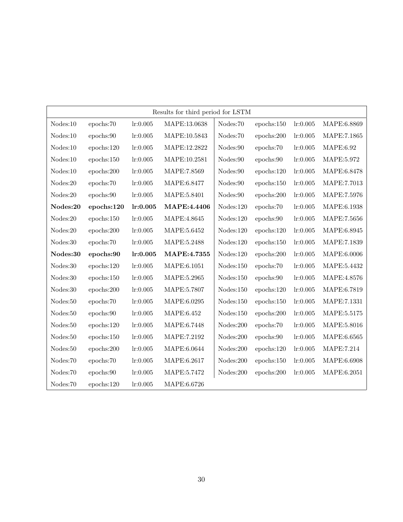|          |            |                       | Results for third period for LSTM |                           |            |           |             |
|----------|------------|-----------------------|-----------------------------------|---------------------------|------------|-----------|-------------|
| Nodes:10 | epochs:70  | lr: 0.005             | MAPE:13.0638                      | Nodes:70                  | epochs:150 | lr: 0.005 | MAPE:6.8869 |
| Nodes:10 | epochs:90  | lr: 0.005             | MAPE:10.5843                      | Nodes:70                  | epochs:200 | lr: 0.005 | MAPE:7.1865 |
| Nodes:10 | epochs:120 | lr: 0.005             | MAPE:12.2822                      | Nodes:90                  | epochs:70  | lr:0.005  | MAPE: 6.92  |
| Nodes:10 | epochs:150 | lr: 0.005             | MAPE:10.2581                      | Nodes:90                  | epochs:90  | lr:0.005  | MAPE:5.972  |
| Nodes:10 | epochs:200 | lr: 0.005             | MAPE:7.8569                       | Nodes:90                  | epochs:120 | lr: 0.005 | MAPE:6.8478 |
| Nodes:20 | epochs:70  | lr: 0.005             | MAPE:6.8477                       | Nodes:90                  | epochs:150 | lr:0.005  | MAPE:7.7013 |
| Nodes:20 | epochs:90  | lr: 0.005             | MAPE:5.8401                       | Nodes:90                  | epochs:200 | lr: 0.005 | MAPE:7.5976 |
| Nodes:20 | epochs:120 | lr: 0.005             | MAPE:4.4406                       | Nodes:120                 | epochs:70  | lr:0.005  | MAPE:6.1938 |
| Nodes:20 | epochs:150 | lr:0.005              | MAPE:4.8645                       | Nodes:120                 | epochs:90  | lr:0.005  | MAPE:7.5656 |
| Nodes:20 | epochs:200 | $\mathrm{lr}{:}0.005$ | MAPE:5.6452                       | Nodes:120                 | epochs:120 | lr:0.005  | MAPE:6.8945 |
| Nodes:30 | epochs:70  | lr: 0.005             | MAPE:5.2488                       | Nodes:120                 | epochs:150 | lr: 0.005 | MAPE:7.1839 |
| Nodes:30 | epochs:90  | lr: 0.005             | MAPE:4.7355                       | Nodes:120                 | epochs:200 | lr: 0.005 | MAPE:6.0006 |
| Nodes:30 | epochs:120 | lr: 0.005             | MAPE:6.1051                       | Nodes:150                 | epochs:70  | lr: 0.005 | MAPE:5.4432 |
| Nodes:30 | epochs:150 | lr: 0.005             | MAPE:5.2965                       | Nodes:150                 | epochs:90  | lr: 0.005 | MAPE:4.8576 |
| Nodes:30 | epochs:200 | lr: 0.005             | MAPE:5.7807                       | Nodes:150                 | epochs:120 | lr: 0.005 | MAPE:6.7819 |
| Nodes:50 | epochs:70  | lr: 0.005             | MAPE:6.0295                       | $\text{Nodes:}\text{150}$ | epochs:150 | lr: 0.005 | MAPE:7.1331 |
| Nodes:50 | epochs:90  | lr: 0.005             | MAPE:6.452                        | Nodes:150                 | epochs:200 | lr: 0.005 | MAPE:5.5175 |
| Nodes:50 | epochs:120 | $\mathrm{lr}{:}0.005$ | MAPE:6.7448                       | Nodes:200                 | epochs:70  | lr: 0.005 | MAPE:5.8016 |
| Nodes:50 | epochs:150 | lr: 0.005             | MAPE:7.2192                       | Nodes:200                 | epochs:90  | lr:0.005  | MAPE:6.6565 |
| Nodes:50 | epochs:200 | lr:0.005              | MAPE:6.0644                       | Nodes:200                 | epochs:120 | lr: 0.005 | MAPE:7.214  |
| Nodes:70 | epochs:70  | lr: 0.005             | MAPE:6.2617                       | Nodes:200                 | epochs:150 | lr:0.005  | MAPE:6.6908 |
| Nodes:70 | epochs:90  | lr:0.005              | MAPE:5.7472                       | Nodes:200                 | epochs:200 | lr:0.005  | MAPE:6.2051 |
| Nodes:70 | epochs:120 | lr: 0.005             | MAPE:6.6726                       |                           |            |           |             |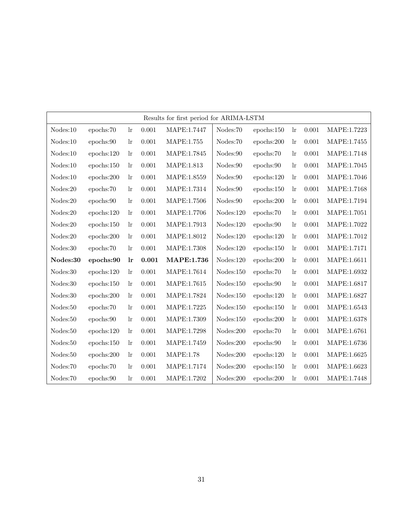|          |            |       |           | Results for first period for ARIMA-LSTM |                     |            |       |       |             |
|----------|------------|-------|-----------|-----------------------------------------|---------------------|------------|-------|-------|-------------|
| Nodes:10 | epochs:70  | $\ln$ | 0.001     | MAPE:1.7447                             | Nodes:70            | epochs:150 | $\ln$ | 0.001 | MAPE:1.7223 |
| Nodes:10 | epochs:90  | $\ln$ | 0.001     | MAPE:1.755                              | Nodes:70            | epochs:200 | $\ln$ | 0.001 | MAPE:1.7455 |
| Nodes:10 | epochs:120 | $\ln$ | $0.001\,$ | MAPE:1.7845                             | Nodes:90            | epochs:70  | $\ln$ | 0.001 | MAPE:1.7148 |
| Nodes:10 | epochs:150 | $\ln$ | 0.001     | MAPE:1.813                              | Nodes:90            | epochs:90  | $\ln$ | 0.001 | MAPE:1.7045 |
| Nodes:10 | epochs:200 | $\ln$ | 0.001     | MAPE:1.8559                             | Nodes:90            | epochs:120 | $\ln$ | 0.001 | MAPE:1.7046 |
| Nodes:20 | epochs:70  | $\ln$ | 0.001     | MAPE:1.7314                             | Nodes:90            | epochs:150 | $\ln$ | 0.001 | MAPE:1.7168 |
| Nodes:20 | epochs:90  | $\ln$ | 0.001     | MAPE:1.7506                             | Nodes:90            | epochs:200 | $\ln$ | 0.001 | MAPE:1.7194 |
| Nodes:20 | epochs:120 | $\ln$ | $0.001\,$ | MAPE:1.7706                             | $\mbox{Nodes:} 120$ | epochs:70  | $\ln$ | 0.001 | MAPE:1.7051 |
| Nodes:20 | epochs:150 | $\ln$ | 0.001     | MAPE:1.7913                             | Nodes:120           | epochs:90  | $\ln$ | 0.001 | MAPE:1.7022 |
| Nodes:20 | epochs:200 | $\ln$ | 0.001     | MAPE:1.8012                             | Nodes:120           | epochs:120 | $\ln$ | 0.001 | MAPE:1.7012 |
| Nodes:30 | epochs:70  | $\ln$ | 0.001     | MAPE:1.7308                             | Nodes:120           | epochs:150 | $\ln$ | 0.001 | MAPE:1.7171 |
| Nodes:30 | epochs:90  | $\ln$ | 0.001     | <b>MAPE:1.736</b>                       | Nodes:120           | epochs:200 | $\ln$ | 0.001 | MAPE:1.6611 |
| Nodes:30 | epochs:120 | $\ln$ | 0.001     | MAPE:1.7614                             | Nodes:150           | epochs:70  | $\ln$ | 0.001 | MAPE:1.6932 |
| Nodes:30 | epochs:150 | $\ln$ | 0.001     | MAPE:1.7615                             | Nodes:150           | epochs:90  | $\ln$ | 0.001 | MAPE:1.6817 |
| Nodes:30 | epochs:200 | $\ln$ | 0.001     | MAPE:1.7824                             | Nodes:150           | epochs:120 | $\ln$ | 0.001 | MAPE:1.6827 |
| Nodes:50 | epochs:70  | $\ln$ | 0.001     | MAPE:1.7225                             | Nodes:150           | epochs:150 | $\ln$ | 0.001 | MAPE:1.6543 |
| Nodes:50 | epochs:90  | $\ln$ | $0.001\,$ | MAPE:1.7309                             | Nodes:150           | epochs:200 | $\ln$ | 0.001 | MAPE:1.6378 |
| Nodes:50 | epochs:120 | $\ln$ | 0.001     | MAPE:1.7298                             | Nodes:200           | epochs:70  | $\ln$ | 0.001 | MAPE:1.6761 |
| Nodes:50 | epochs:150 | $\ln$ | 0.001     | MAPE:1.7459                             | Nodes:200           | epochs:90  | $\ln$ | 0.001 | MAPE:1.6736 |
| Nodes:50 | epochs:200 | $\ln$ | 0.001     | MAPE:1.78                               | Nodes:200           | epochs:120 | $\ln$ | 0.001 | MAPE:1.6625 |
| Nodes:70 | epochs:70  | $\ln$ | 0.001     | MAPE:1.7174                             | Nodes:200           | epochs:150 | $\ln$ | 0.001 | MAPE:1.6623 |
| Nodes:70 | epochs:90  | $\ln$ | 0.001     | MAPE:1.7202                             | Nodes:200           | epochs:200 | $\ln$ | 0.001 | MAPE:1.7448 |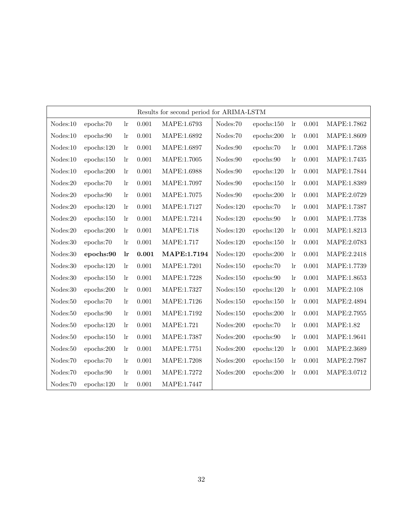| Results for second period for ARIMA-LSTM |            |       |           |                   |           |            |       |       |             |  |
|------------------------------------------|------------|-------|-----------|-------------------|-----------|------------|-------|-------|-------------|--|
| Nodes:10                                 | epochs:70  | $\ln$ | 0.001     | MAPE:1.6793       | Nodes:70  | epochs:150 | $\ln$ | 0.001 | MAPE:1.7862 |  |
| Nodes:10                                 | epochs:90  | $\ln$ | $0.001\,$ | MAPE:1.6892       | Nodes:70  | epochs:200 | $\ln$ | 0.001 | MAPE:1.8609 |  |
| Nodes:10                                 | epochs:120 | $\ln$ | $0.001\,$ | MAPE:1.6897       | Nodes:90  | epochs:70  | $\ln$ | 0.001 | MAPE:1.7268 |  |
| Nodes:10                                 | epochs:150 | $\ln$ | 0.001     | MAPE:1.7005       | Nodes:90  | epochs:90  | $\ln$ | 0.001 | MAPE:1.7435 |  |
| Nodes:10                                 | epochs:200 | $\ln$ | 0.001     | MAPE:1.6988       | Nodes:90  | epochs:120 | $\ln$ | 0.001 | MAPE:1.7844 |  |
| Nodes:20                                 | epochs:70  | $\ln$ | 0.001     | MAPE:1.7097       | Nodes:90  | epochs:150 | $\ln$ | 0.001 | MAPE:1.8389 |  |
| Nodes:20                                 | epochs:90  | $\ln$ | $0.001\,$ | MAPE:1.7075       | Nodes:90  | epochs:200 | $\ln$ | 0.001 | MAPE:2.0729 |  |
| Nodes:20                                 | epochs:120 | $\ln$ | 0.001     | MAPE:1.7127       | Nodes:120 | epochs:70  | $\ln$ | 0.001 | MAPE:1.7387 |  |
| Nodes:20                                 | epochs:150 | $\ln$ | $0.001\,$ | MAPE:1.7214       | Nodes:120 | epochs:90  | $\ln$ | 0.001 | MAPE:1.7738 |  |
| Nodes:20                                 | epochs:200 | $\ln$ | $0.001\,$ | MAPE:1.718        | Nodes:120 | epochs:120 | $\ln$ | 0.001 | MAPE:1.8213 |  |
| Nodes:30                                 | epochs:70  | $\ln$ | 0.001     | <b>MAPE:1.717</b> | Nodes:120 | epochs:150 | $\ln$ | 0.001 | MAPE:2.0783 |  |
| Nodes:30                                 | epochs:90  | lr    | 0.001     | MAPE:1.7194       | Nodes:120 | epochs:200 | $\ln$ | 0.001 | MAPE:2.2418 |  |
| Nodes:30                                 | epochs:120 | $\ln$ | $0.001\,$ | MAPE:1.7201       | Nodes:150 | epochs:70  | $\ln$ | 0.001 | MAPE:1.7739 |  |
| Nodes:30                                 | epochs:150 | $\ln$ | 0.001     | MAPE:1.7228       | Nodes:150 | epochs:90  | $\ln$ | 0.001 | MAPE:1.8653 |  |
| Nodes:30                                 | epochs:200 | $\ln$ | $0.001\,$ | MAPE:1.7327       | Nodes:150 | epochs:120 | $\ln$ | 0.001 | MAPE:2.108  |  |
| Nodes:50                                 | epochs:70  | $\ln$ | 0.001     | MAPE:1.7126       | Nodes:150 | epochs:150 | $\ln$ | 0.001 | MAPE:2.4894 |  |
| Nodes:50                                 | epochs:90  | $\ln$ | 0.001     | MAPE:1.7192       | Nodes:150 | epochs:200 | $\ln$ | 0.001 | MAPE:2.7955 |  |
| Nodes:50                                 | epochs:120 | $\ln$ | 0.001     | MAPE:1.721        | Nodes:200 | epochs:70  | $\ln$ | 0.001 | MAPE:1.82   |  |
| Nodes:50                                 | epochs:150 | $\ln$ | $0.001\,$ | MAPE:1.7387       | Nodes:200 | epochs:90  | $\ln$ | 0.001 | MAPE:1.9641 |  |
| Nodes:50                                 | epochs:200 | $\ln$ | $0.001\,$ | MAPE:1.7751       | Nodes:200 | epochs:120 | $\ln$ | 0.001 | MAPE:2.3689 |  |
| Nodes:70                                 | epochs:70  | $\ln$ | 0.001     | MAPE:1.7208       | Nodes:200 | epochs:150 | $\ln$ | 0.001 | MAPE:2.7987 |  |
| Nodes:70                                 | epochs:90  | $\ln$ | $0.001\,$ | MAPE:1.7272       | Nodes:200 | epochs:200 | $\ln$ | 0.001 | MAPE:3.0712 |  |
| Nodes:70                                 | epochs:120 | $\ln$ | 0.001     | MAPE:1.7447       |           |            |       |       |             |  |